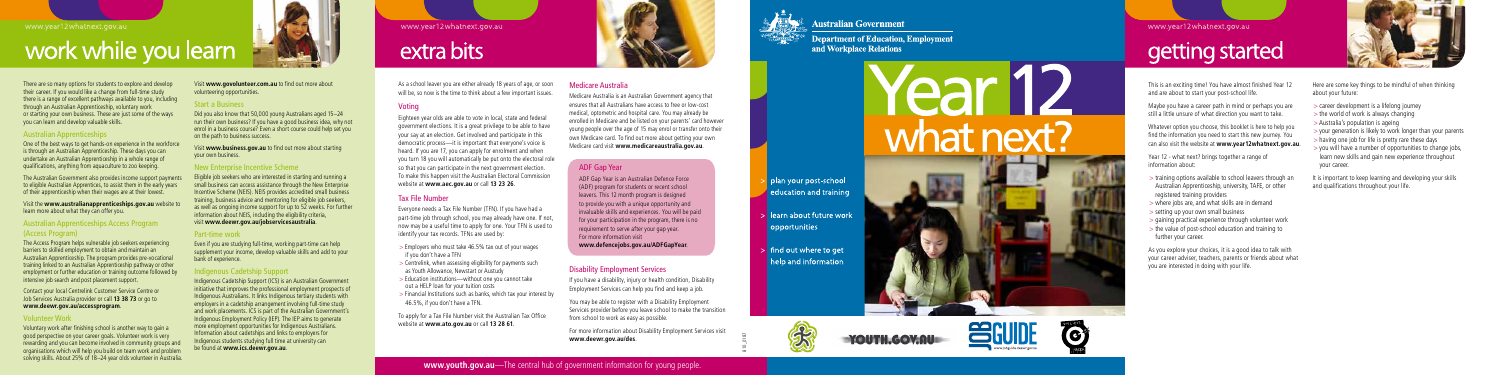## work while you learn

As a school leaver you are either already 18 years of age, or soon will be, so now is the time to think about a few important issues.

### Voting

Eighteen year olds are able to vote in local, state and federal government elections. It is a great privilege to be able to have your say at an election. Get involved and participate in this democratic process—it is important that everyone's voice is heard. If you are 17, you can apply for enrolment and when you turn 18 you will automatically be put onto the electoral role so that you can participate in the next government election. To make this happen visit the Australian Electoral Commission website at **www.aec.gov.au** or call **13 23 26** .

### Tax File Number

Everyone needs a Tax File Number (TFN). If you have had a part-time job through school, you may already have one. If not, now may be a useful time to apply for one. Your TFN is used to identify your tax records. TFNs are used by:

- > Employers who must take 46.5% tax out of your wages if you don't have a TFN
- > Centrelink, when assessing eligibility for payments such as Youth Allowance, Newstart or Austudy
- > Education institutions—without one you cannot take out a HELP loan for your tuition costs
- > Financial Institutions such as banks, which tax your interest by 46.5%, if you don't have a TFN.

To apply for a Tax File Number visit the Australian Tax Office website at **www.ato.gov.au** or call **13 28 61** .

### Medicare Australia

Medicare Australia is an Australian Government agency that ensures that all Australians have access to free or low-cost medical, optometric and hospital care. You may already be enrolled in Medicare and be listed on your parents' card however young people over the age of 15 may enrol or transfer onto their own Medicare card. To find out more about getting your own Medicare card visit **www.medicareaustralia.gov.au** .

### Disability Employment Services

If you have a disability, injury or health condition, Disability Employment Services can help you find and keep a job.

You may be able to register with a Disability Employment Services provider before you leave school to make the transition from school to work as easy as possible.

For more information about Disability Employment Services visit **www.deewr.gov.au/des** .

### ADF Gap Year

ADF Gap Year is an Australian Defence Force (ADF) program for students or recent school leavers. This 12 month program is designed to provide you with a unique opportunity and invaluable skills and experiences. You will be paid for your participation in the program, there is no requirement to serve after your gap year. For more information visit **www.defencejobs.gov.au/ADFGapYear** .

B10\_0187



**BULLSEYE** 

### www.year12whatnext.gov.au

### getting started

This is an exciting time! You have almost finished Year 12 and are about to start your post-school life.

Maybe you have a career path in mind or perhaps you are still a little unsure of what direction you want to take.

Whatever option you choose, this booklet is here to help you find the information you need to start this new journey. You can also visit the website at **www.year12whatnext.gov.au** .

Year 12 - what next? brings together a range of information about:

- > training options available to school leavers through an Australian Apprenticeship, university, TAFE, or other registered training providers
- > where jobs are, and what skills are in demand
- > setting up your own small business
- > gaining practical experience through volunteer work
- > the value of post-school education and training to further your career.

As you explore your choices, it is a good idea to talk with your career adviser, teachers, parents or friends about what you are interested in doing with your life.



Here are some key things to be mindful of when thinking about your future:

- > career development is a lifelong journey
- > the world of work is always changing
- > Australia's population is ageing
- > your generation is likely to work longer than your parents
- > having one job for life is pretty rare these days
- > you will have a number of opportunities to change jobs, learn new skills and gain new experience throughout your career.

It is important to keep learning and developing your skills and qualifications throughout your life.

There are so many options for students to explore and develop their career. If you would like a change from full-time study there is a range of excellent pathways available to you, including through an Australian Apprenticeship, voluntary work or starting your own business. These are just some of the ways you can learn and develop valuable skills.

### Australian Apprenticeships

One of the best ways to get hands-on experience in the workforce is through an Australian Apprenticeship. These days you can undertake an Australian Apprenticeship in a whole range of qualifications, anything from aquaculture to zoo keeping.

The Australian Government also provides income support payments to eligible Australian Apprentices, to assist them in the early years of their apprenticeship when their wages are at their lowest.

Visit the **www.australianapprenticeships.gov.au** website to learn more about what they can offer you.

### Australian Apprenticeships Access Program (Access Program)

The Access Program helps vulnerable job seekers experiencing barriers to skilled employment to obtain and maintain an Australian Apprenticeship. The program provides pre-vocational training linked to an Australian Apprenticeship pathway or other employment or further education or training outcome followed by intensive job search and post placement support.

Contact your local Centrelink Customer Service Centre or Job Services Australia provider or call **13 38 73** or go to **www.deewr.gov.au/accessprogram**.

### Volunteer Work

Voluntary work after finishing school is another way to gain a good perspective on your career goals. Volunteer work is very rewarding and you can become involved in community groups and organisations which will help you build on team work and problem solving skills. About 25% of 18–24 year olds volunteer in Australia.

Visit **www.govolunteer.com.au** to find out more about volunteering opportunities.

### Start a Business

Did you also know that 50,000 young Australians aged 15–24 run their own business? If you have a good business idea, why not enrol in a business course? Even a short course could help set you on the path to business success.

Visit **www.business.gov.au** to find out more about starting your own business.

### New Enterprise Incentive Scheme

Eligible job seekers who are interested in starting and running a small business can access assistance through the New Enterprise Incentive Scheme (NEIS). NEIS provides accredited small business training, business advice and mentoring for eligible job seekers, as well as ongoing income support for up to 52 weeks. For further information about NEIS, including the eligibility criteria, visit **www.deewr.gov.au/jobservicesaustralia** .

### Part-time work

Even if you are studying full-time, working part-time can help supplement your income, develop valuable skills and add to your bank of experience.

### ndigenous Cadetship Support

Indigenous Cadetship Support (ICS) is an Australian Government initiative that improves the professional employment prospects of Indigenous Australians. It links Indigenous tertiary students with employers in a cadetship arrangement involving full-time study and work placements. ICS is part of the Australian Government's Indigenous Employment Policy (IEP). The IEP aims to generate more employment opportunities for Indigenous Australians. Information about cadetships and links to employers for Indigenous students studying full time at university can be found at **www.ics.deewr.gov.au** .

www.year12whatnext.gov.au

### extra bits





### **Australian Government**

**Department of Education, Employment** and Workplace Relations

YOUTH.GOV.AU=

# rear r what next?

- plan your post-school education and training
- learn about future work opportunities
- $>$  find out where to get help and information

5